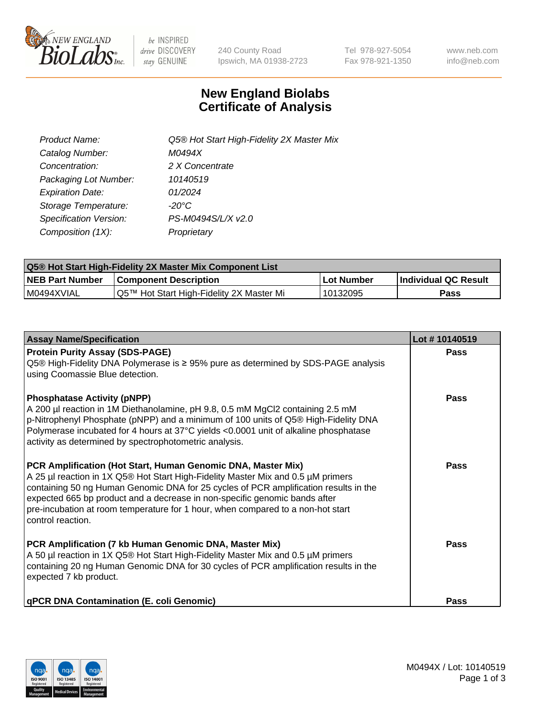

 $be$  INSPIRED drive DISCOVERY stay GENUINE

240 County Road Ipswich, MA 01938-2723 Tel 978-927-5054 Fax 978-921-1350 www.neb.com info@neb.com

## **New England Biolabs Certificate of Analysis**

| Product Name:           | Q5® Hot Start High-Fidelity 2X Master Mix |
|-------------------------|-------------------------------------------|
| Catalog Number:         | M0494X                                    |
| Concentration:          | 2 X Concentrate                           |
| Packaging Lot Number:   | 10140519                                  |
| <b>Expiration Date:</b> | 01/2024                                   |
| Storage Temperature:    | $-20^{\circ}$ C                           |
| Specification Version:  | PS-M0494S/L/X v2.0                        |
| Composition (1X):       | Proprietary                               |

| <b>Q5® Hot Start High-Fidelity 2X Master Mix Component List</b> |                                          |            |                      |  |  |
|-----------------------------------------------------------------|------------------------------------------|------------|----------------------|--|--|
| <b>NEB Part Number</b>                                          | <b>Component Description</b>             | Lot Number | Individual QC Result |  |  |
| I M0494XVIAL                                                    | Q5™ Hot Start High-Fidelity 2X Master Mi | 10132095   | Pass                 |  |  |

| <b>Assay Name/Specification</b>                                                                                                                                                                                                                                                                                                                                                                                                | Lot #10140519 |
|--------------------------------------------------------------------------------------------------------------------------------------------------------------------------------------------------------------------------------------------------------------------------------------------------------------------------------------------------------------------------------------------------------------------------------|---------------|
| <b>Protein Purity Assay (SDS-PAGE)</b><br>Q5® High-Fidelity DNA Polymerase is ≥ 95% pure as determined by SDS-PAGE analysis<br>using Coomassie Blue detection.                                                                                                                                                                                                                                                                 | <b>Pass</b>   |
| <b>Phosphatase Activity (pNPP)</b><br>A 200 µl reaction in 1M Diethanolamine, pH 9.8, 0.5 mM MgCl2 containing 2.5 mM<br>p-Nitrophenyl Phosphate (pNPP) and a minimum of 100 units of Q5® High-Fidelity DNA<br>Polymerase incubated for 4 hours at 37°C yields <0.0001 unit of alkaline phosphatase<br>activity as determined by spectrophotometric analysis.                                                                   | Pass          |
| PCR Amplification (Hot Start, Human Genomic DNA, Master Mix)<br>A 25 µl reaction in 1X Q5® Hot Start High-Fidelity Master Mix and 0.5 µM primers<br>containing 50 ng Human Genomic DNA for 25 cycles of PCR amplification results in the<br>expected 665 bp product and a decrease in non-specific genomic bands after<br>pre-incubation at room temperature for 1 hour, when compared to a non-hot start<br>control reaction. | <b>Pass</b>   |
| PCR Amplification (7 kb Human Genomic DNA, Master Mix)<br>A 50 µl reaction in 1X Q5® Hot Start High-Fidelity Master Mix and 0.5 µM primers<br>containing 20 ng Human Genomic DNA for 30 cycles of PCR amplification results in the<br>expected 7 kb product.                                                                                                                                                                   | Pass          |
| qPCR DNA Contamination (E. coli Genomic)                                                                                                                                                                                                                                                                                                                                                                                       | Pass          |

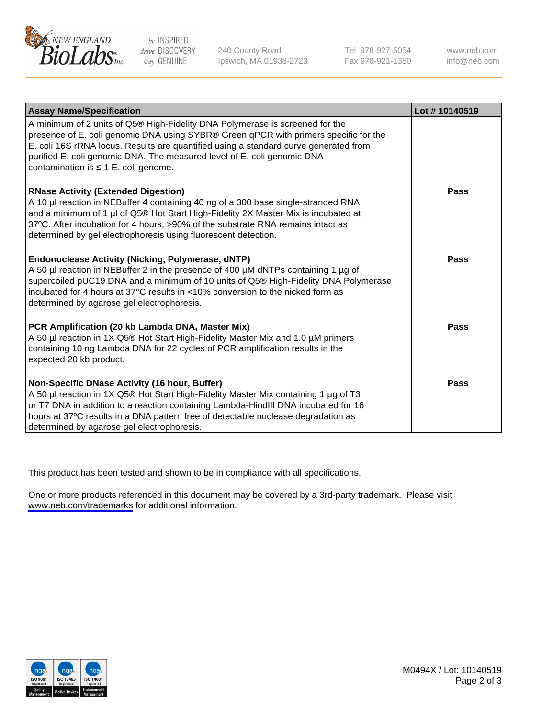

be INSPIRED drive DISCOVERY stay GENUINE

240 County Road Ipswich, MA 01938-2723 Tel 978-927-5054 Fax 978-921-1350

www.neb.com info@neb.com

| <b>Assay Name/Specification</b>                                                                                                                                                                                                                                                                                                                                                      | Lot #10140519 |
|--------------------------------------------------------------------------------------------------------------------------------------------------------------------------------------------------------------------------------------------------------------------------------------------------------------------------------------------------------------------------------------|---------------|
| A minimum of 2 units of Q5® High-Fidelity DNA Polymerase is screened for the<br>presence of E. coli genomic DNA using SYBR® Green qPCR with primers specific for the<br>E. coli 16S rRNA locus. Results are quantified using a standard curve generated from<br>purified E. coli genomic DNA. The measured level of E. coli genomic DNA<br>contamination is $\leq 1$ E. coli genome. |               |
| <b>RNase Activity (Extended Digestion)</b><br>A 10 µl reaction in NEBuffer 4 containing 40 ng of a 300 base single-stranded RNA<br>and a minimum of 1 µl of Q5® Hot Start High-Fidelity 2X Master Mix is incubated at<br>37°C. After incubation for 4 hours, >90% of the substrate RNA remains intact as<br>determined by gel electrophoresis using fluorescent detection.           | Pass          |
| <b>Endonuclease Activity (Nicking, Polymerase, dNTP)</b><br>A 50 µl reaction in NEBuffer 2 in the presence of 400 µM dNTPs containing 1 µg of<br>supercoiled pUC19 DNA and a minimum of 10 units of Q5® High-Fidelity DNA Polymerase<br>incubated for 4 hours at 37°C results in <10% conversion to the nicked form as<br>determined by agarose gel electrophoresis.                 | Pass          |
| PCR Amplification (20 kb Lambda DNA, Master Mix)<br>A 50 µl reaction in 1X Q5® Hot Start High-Fidelity Master Mix and 1.0 µM primers<br>containing 10 ng Lambda DNA for 22 cycles of PCR amplification results in the<br>expected 20 kb product.                                                                                                                                     | Pass          |
| Non-Specific DNase Activity (16 hour, Buffer)<br>A 50 µl reaction in 1X Q5® Hot Start High-Fidelity Master Mix containing 1 µg of T3<br>or T7 DNA in addition to a reaction containing Lambda-HindIII DNA incubated for 16<br>hours at 37°C results in a DNA pattern free of detectable nuclease degradation as<br>determined by agarose gel electrophoresis.                        | Pass          |

This product has been tested and shown to be in compliance with all specifications.

One or more products referenced in this document may be covered by a 3rd-party trademark. Please visit <www.neb.com/trademarks>for additional information.